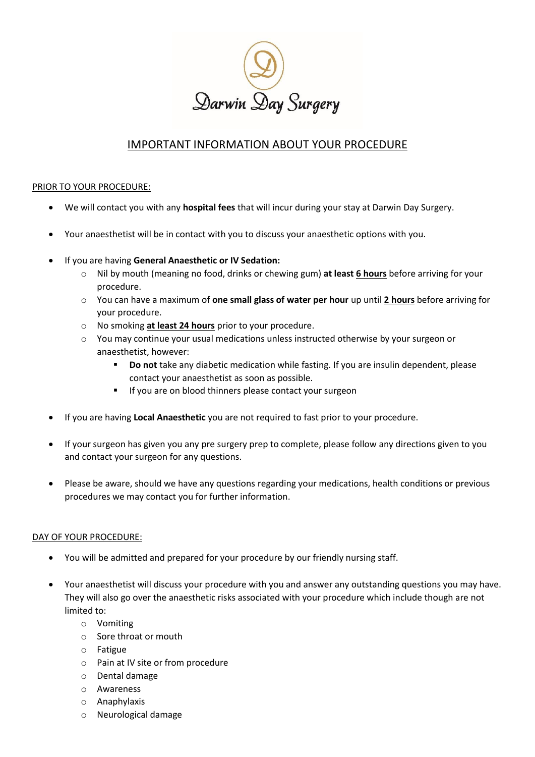

## IMPORTANT INFORMATION ABOUT YOUR PROCEDURE

## PRIOR TO YOUR PROCEDURE:

- We will contact you with any **hospital fees** that will incur during your stay at Darwin Day Surgery.
- Your anaesthetist will be in contact with you to discuss your anaesthetic options with you.
- If you are having **General Anaesthetic or IV Sedation:**
	- o Nil by mouth (meaning no food, drinks or chewing gum) **at least 6 hours** before arriving for your procedure.
	- o You can have a maximum of **one small glass of water per hour** up until **2 hours** before arriving for your procedure.
	- o No smoking **at least 24 hours** prior to your procedure.
	- o You may continue your usual medications unless instructed otherwise by your surgeon or anaesthetist, however:
		- **Do not** take any diabetic medication while fasting. If you are insulin dependent, please contact your anaesthetist as soon as possible.
		- If you are on blood thinners please contact your surgeon
- If you are having **Local Anaesthetic** you are not required to fast prior to your procedure.
- If your surgeon has given you any pre surgery prep to complete, please follow any directions given to you and contact your surgeon for any questions.
- Please be aware, should we have any questions regarding your medications, health conditions or previous procedures we may contact you for further information.

## DAY OF YOUR PROCEDURE:

- You will be admitted and prepared for your procedure by our friendly nursing staff.
- Your anaesthetist will discuss your procedure with you and answer any outstanding questions you may have. They will also go over the anaesthetic risks associated with your procedure which include though are not limited to:
	- o Vomiting
	- o Sore throat or mouth
	- o Fatigue
	- o Pain at IV site or from procedure
	- o Dental damage
	- o Awareness
	- o Anaphylaxis
	- o Neurological damage